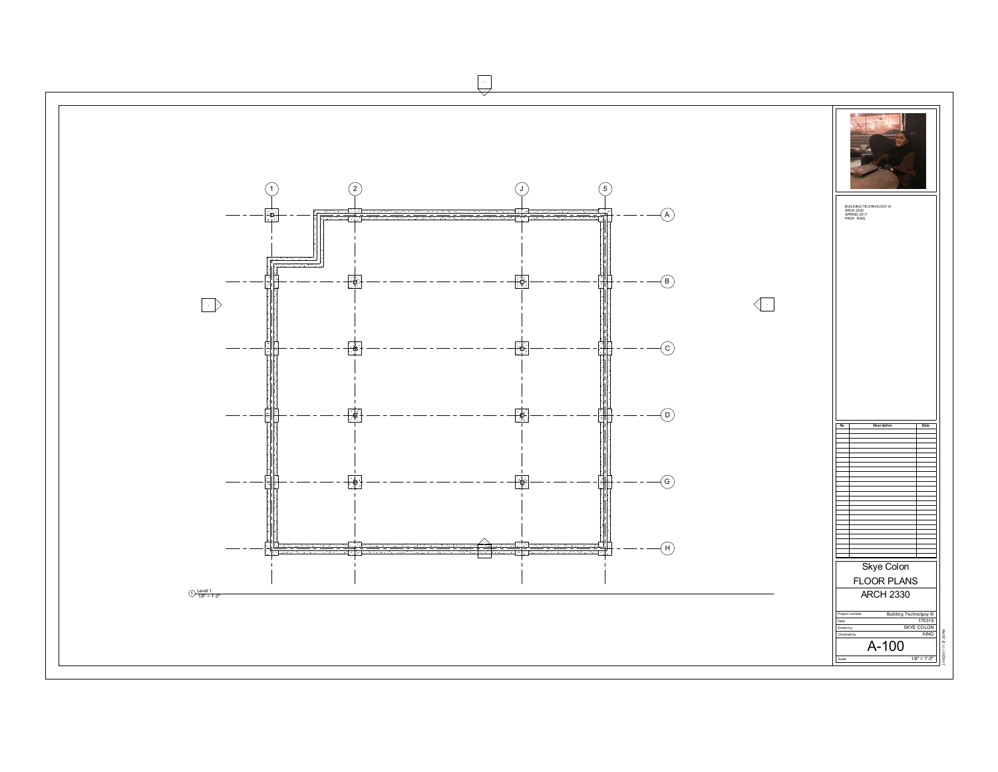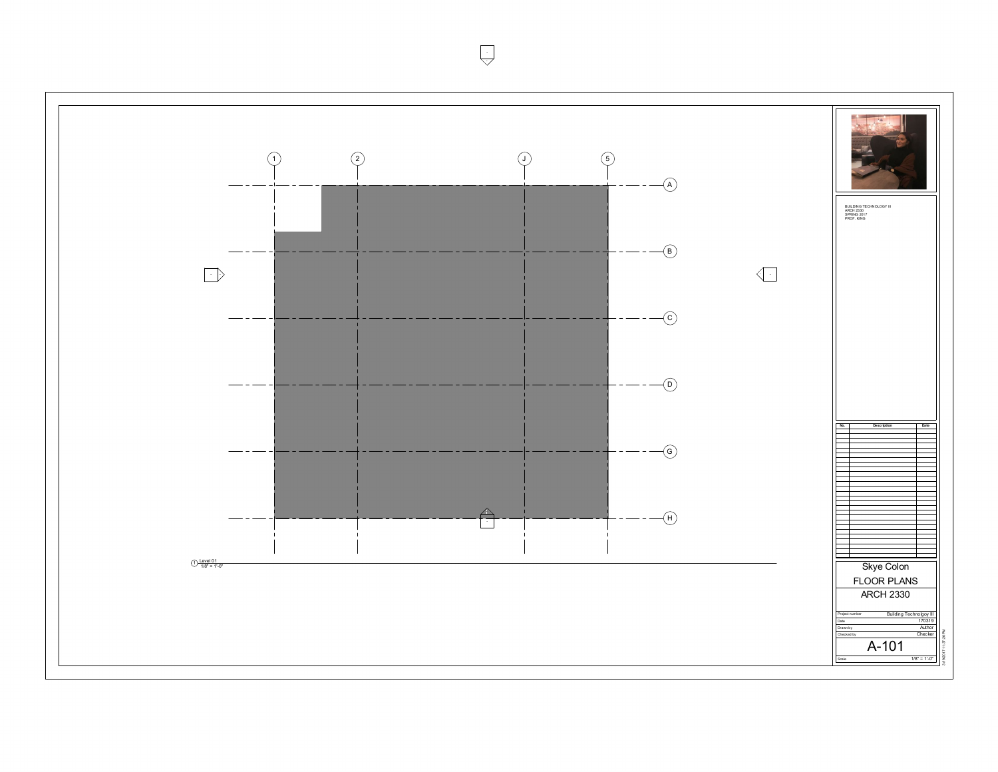$\overline{\bigcup}$ --

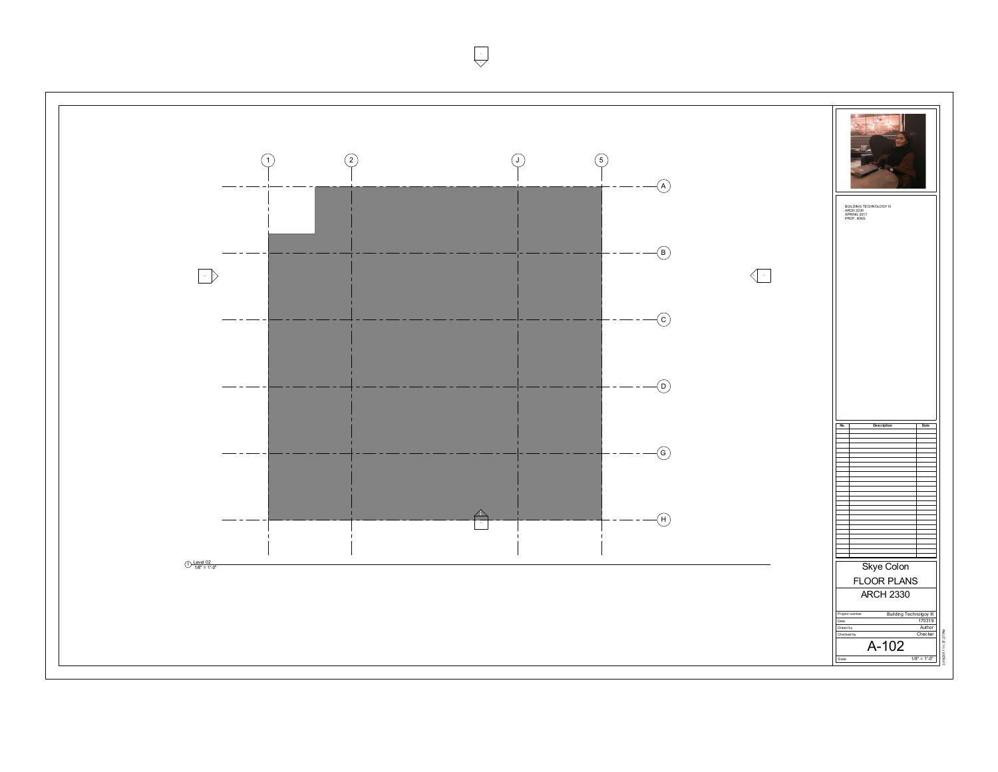$\overline{\bigcup}$ --

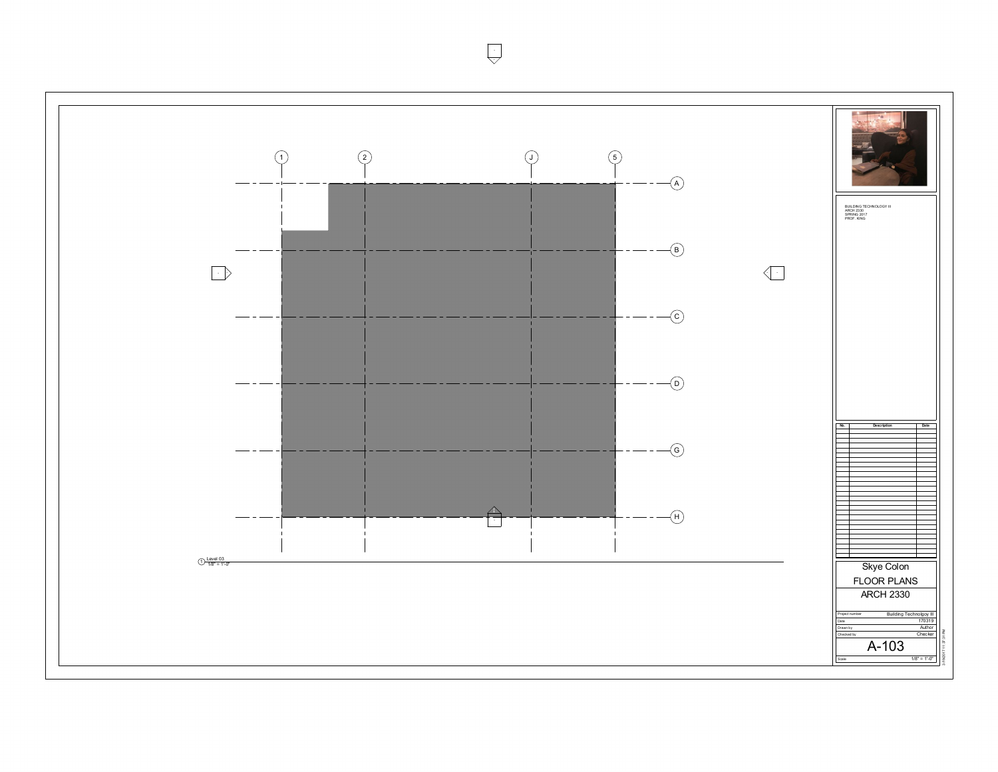$\overline{\bigcup}$ --